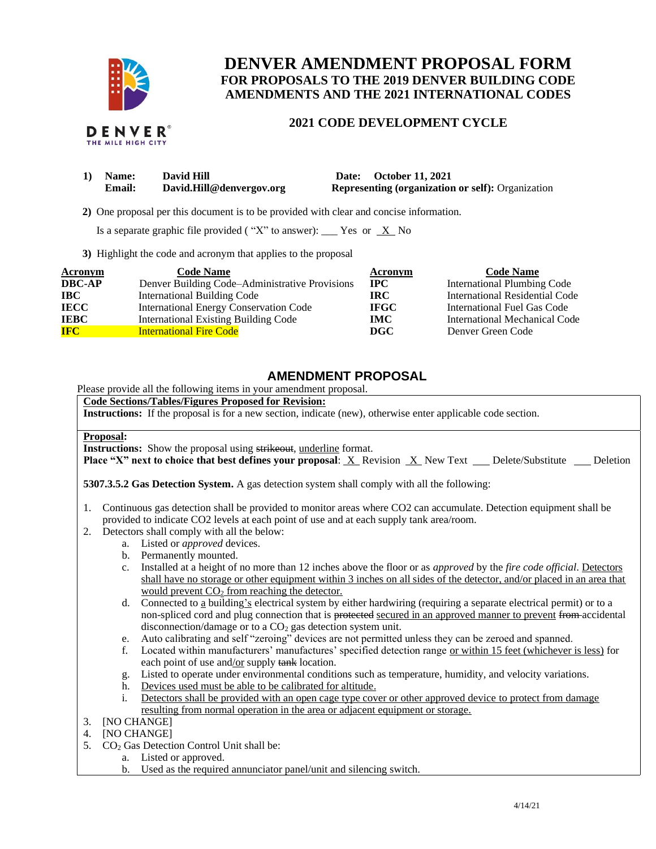

DENVER THE MILE HIGH CITY

# **DENVER AMENDMENT PROPOSAL FORM FOR PROPOSALS TO THE 2019 DENVER BUILDING CODE AMENDMENTS AND THE 2021 INTERNATIONAL CODES**

### **2021 CODE DEVELOPMENT CYCLE**

| Name:         | David Hill               | Date: October 11, 2021                                   |
|---------------|--------------------------|----------------------------------------------------------|
| <b>Email:</b> | David.Hill@denvergov.org | <b>Representing (organization or self):</b> Organization |

 **2)** One proposal per this document is to be provided with clear and concise information.

Is a separate graphic file provided ("X" to answer): \_\_\_ Yes or  $X$  No

**3)** Highlight the code and acronym that applies to the proposal

| Acronym       | <b>Code Name</b>                               | Acronym     | <b>Code Name</b>               |
|---------------|------------------------------------------------|-------------|--------------------------------|
| <b>DBC-AP</b> | Denver Building Code–Administrative Provisions | $\bf IPC$   | International Plumbing Code    |
| IBC           | <b>International Building Code</b>             | <b>IRC</b>  | International Residential Code |
| <b>IECC</b>   | <b>International Energy Conservation Code</b>  | <b>IFGC</b> | International Fuel Gas Code    |
| <b>IEBC</b>   | <b>International Existing Building Code</b>    | IMC .       | International Mechanical Code  |
| <b>IFC</b>    | <b>International Fire Code</b>                 | DGC         | Denver Green Code              |

## **AMENDMENT PROPOSAL**

Please provide all the following items in your amendment proposal.

### **Code Sections/Tables/Figures Proposed for Revision:**

**Instructions:** If the proposal is for a new section, indicate (new), otherwise enter applicable code section.

#### **Proposal:**

**Instructions:** Show the proposal using strikeout, underline format.

**Place "X" next to choice that best defines your proposal:** X Revision X New Text Delete/Substitute Deletion

**5307.3.5.2 Gas Detection System.** A gas detection system shall comply with all the following:

- 1. Continuous gas detection shall be provided to monitor areas where CO2 can accumulate. Detection equipment shall be provided to indicate CO2 levels at each point of use and at each supply tank area/room.
- 2. Detectors shall comply with all the below:
- a. Listed or *approved* devices.
	- b. Permanently mounted.
	- c. Installed at a height of no more than 12 inches above the floor or as *approved* by the *fire code official*. Detectors shall have no storage or other equipment within 3 inches on all sides of the detector, and/or placed in an area that would prevent  $CO<sub>2</sub>$  from reaching the detector.
	- d. Connected to a building's electrical system by either hardwiring (requiring a separate electrical permit) or to a non-spliced cord and plug connection that is protected secured in an approved manner to prevent from accidental disconnection/damage or to a  $CO<sub>2</sub>$  gas detection system unit.
	- e. Auto calibrating and self "zeroing" devices are not permitted unless they can be zeroed and spanned.
	- f. Located within manufacturers' manufactures' specified detection range or within 15 feet (whichever is less) for each point of use and/or supply tank location.
	- g. Listed to operate under environmental conditions such as temperature, humidity, and velocity variations.
	- h. Devices used must be able to be calibrated for altitude.
	- i. Detectors shall be provided with an open cage type cover or other approved device to protect from damage resulting from normal operation in the area or adjacent equipment or storage.
- 3. [NO CHANGE]
- 4. [NO CHANGE]
- 5.  $CO<sub>2</sub>$  Gas Detection Control Unit shall be:
	- a. Listed or approved.
	- b. Used as the required annunciator panel/unit and silencing switch.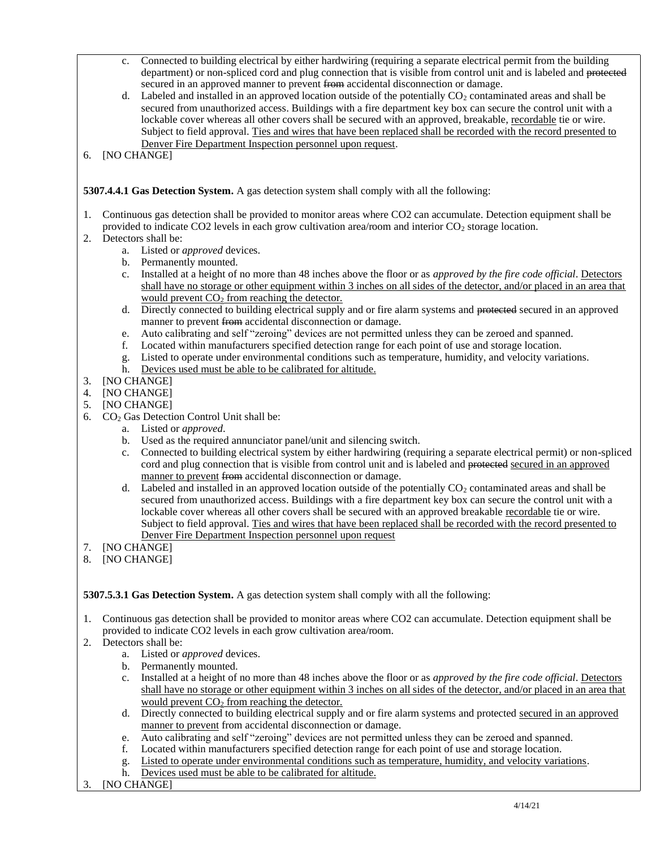- c. Connected to building electrical by either hardwiring (requiring a separate electrical permit from the building department) or non-spliced cord and plug connection that is visible from control unit and is labeled and protected secured in an approved manner to prevent from accidental disconnection or damage.
- d. Labeled and installed in an approved location outside of the potentially  $CO<sub>2</sub>$  contaminated areas and shall be secured from unauthorized access. Buildings with a fire department key box can secure the control unit with a lockable cover whereas all other covers shall be secured with an approved, breakable, recordable tie or wire. Subject to field approval. Ties and wires that have been replaced shall be recorded with the record presented to Denver Fire Department Inspection personnel upon request.
- 6. [NO CHANGE]

**5307.4.4.1 Gas Detection System.** A gas detection system shall comply with all the following:

- 1. Continuous gas detection shall be provided to monitor areas where CO2 can accumulate. Detection equipment shall be provided to indicate CO2 levels in each grow cultivation area/room and interior  $CO<sub>2</sub>$  storage location.
- 2. Detectors shall be:
	- a. Listed or *approved* devices.
	- b. Permanently mounted.
	- c. Installed at a height of no more than 48 inches above the floor or as *approved by the fire code official*. Detectors shall have no storage or other equipment within 3 inches on all sides of the detector, and/or placed in an area that would prevent  $CO<sub>2</sub>$  from reaching the detector.
	- d. Directly connected to building electrical supply and or fire alarm systems and protected secured in an approved manner to prevent from accidental disconnection or damage.
	- e. Auto calibrating and self "zeroing" devices are not permitted unless they can be zeroed and spanned.
	- f. Located within manufacturers specified detection range for each point of use and storage location.
	- g. Listed to operate under environmental conditions such as temperature, humidity, and velocity variations.
	- h. Devices used must be able to be calibrated for altitude.
- 3. [NO CHANGE]
- 4. [NO CHANGE]
- 5. [NO CHANGE]
- 6. CO<sup>2</sup> Gas Detection Control Unit shall be:
	- a. Listed or *approved*.
	- b. Used as the required annunciator panel/unit and silencing switch.
	- c. Connected to building electrical system by either hardwiring (requiring a separate electrical permit) or non-spliced cord and plug connection that is visible from control unit and is labeled and protected secured in an approved manner to prevent from accidental disconnection or damage.
	- d. Labeled and installed in an approved location outside of the potentially  $CO<sub>2</sub>$  contaminated areas and shall be secured from unauthorized access. Buildings with a fire department key box can secure the control unit with a lockable cover whereas all other covers shall be secured with an approved breakable recordable tie or wire. Subject to field approval. Ties and wires that have been replaced shall be recorded with the record presented to Denver Fire Department Inspection personnel upon request
- 7. [NO CHANGE]
- 8. [NO CHANGE]

**5307.5.3.1 Gas Detection System.** A gas detection system shall comply with all the following:

- 1. Continuous gas detection shall be provided to monitor areas where CO2 can accumulate. Detection equipment shall be provided to indicate CO2 levels in each grow cultivation area/room.
- 2. Detectors shall be:
	- a. Listed or *approved* devices.
	- b. Permanently mounted.
	- c. Installed at a height of no more than 48 inches above the floor or as *approved by the fire code official*. Detectors shall have no storage or other equipment within 3 inches on all sides of the detector, and/or placed in an area that would prevent  $CO<sub>2</sub>$  from reaching the detector.
	- d. Directly connected to building electrical supply and or fire alarm systems and protected secured in an approved manner to prevent from accidental disconnection or damage.
	- e. Auto calibrating and self "zeroing" devices are not permitted unless they can be zeroed and spanned.
	- f. Located within manufacturers specified detection range for each point of use and storage location.
	- g. Listed to operate under environmental conditions such as temperature, humidity, and velocity variations.
	- h. Devices used must be able to be calibrated for altitude.
- 3. [NO CHANGE]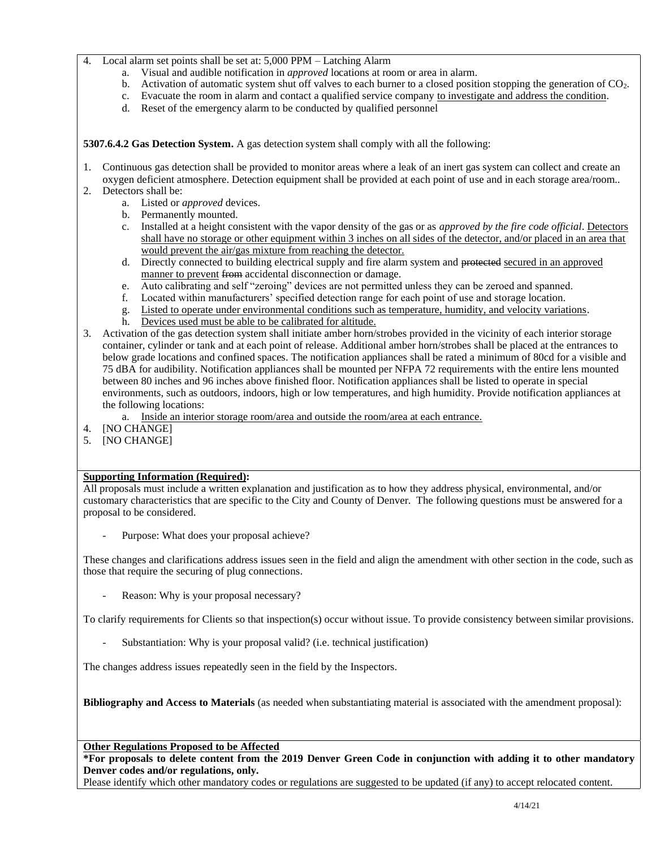- Local alarm set points shall be set at: 5,000 PPM Latching Alarm
	- a. Visual and audible notification in *approved* locations at room or area in alarm.
	- b. Activation of automatic system shut off valves to each burner to a closed position stopping the generation of CO<sub>2</sub>.
	- c. Evacuate the room in alarm and contact a qualified service company to investigate and address the condition.
	- d. Reset of the emergency alarm to be conducted by qualified personnel

**5307.6.4.2 Gas Detection System.** A gas detection system shall comply with all the following:

1. Continuous gas detection shall be provided to monitor areas where a leak of an inert gas system can collect and create an oxygen deficient atmosphere. Detection equipment shall be provided at each point of use and in each storage area/room..

- 2. Detectors shall be:
	- a. Listed or *approved* devices.
	- b. Permanently mounted.
	- c. Installed at a height consistent with the vapor density of the gas or as *approved by the fire code official*. Detectors shall have no storage or other equipment within 3 inches on all sides of the detector, and/or placed in an area that would prevent the air/gas mixture from reaching the detector.
	- d. Directly connected to building electrical supply and fire alarm system and protected secured in an approved manner to prevent from accidental disconnection or damage.
	- e. Auto calibrating and self "zeroing" devices are not permitted unless they can be zeroed and spanned.
	- f. Located within manufacturers' specified detection range for each point of use and storage location.
	- g. Listed to operate under environmental conditions such as temperature, humidity, and velocity variations.
	- h. Devices used must be able to be calibrated for altitude.
- 3. Activation of the gas detection system shall initiate amber horn/strobes provided in the vicinity of each interior storage container, cylinder or tank and at each point of release. Additional amber horn/strobes shall be placed at the entrances to below grade locations and confined spaces. The notification appliances shall be rated a minimum of 80cd for a visible and 75 dBA for audibility. Notification appliances shall be mounted per NFPA 72 requirements with the entire lens mounted between 80 inches and 96 inches above finished floor. Notification appliances shall be listed to operate in special environments, such as outdoors, indoors, high or low temperatures, and high humidity. Provide notification appliances at the following locations:
	- a. Inside an interior storage room/area and outside the room/area at each entrance.
- 4. [NO CHANGE]
- 5. [NO CHANGE]

#### **Supporting Information (Required):**

All proposals must include a written explanation and justification as to how they address physical, environmental, and/or customary characteristics that are specific to the City and County of Denver. The following questions must be answered for a proposal to be considered.

Purpose: What does your proposal achieve?

These changes and clarifications address issues seen in the field and align the amendment with other section in the code, such as those that require the securing of plug connections.

Reason: Why is your proposal necessary?

To clarify requirements for Clients so that inspection(s) occur without issue. To provide consistency between similar provisions.

Substantiation: Why is your proposal valid? (i.e. technical justification)

The changes address issues repeatedly seen in the field by the Inspectors.

**Bibliography and Access to Materials** (as needed when substantiating material is associated with the amendment proposal):

**Other Regulations Proposed to be Affected**

**\*For proposals to delete content from the 2019 Denver Green Code in conjunction with adding it to other mandatory Denver codes and/or regulations, only.**

Please identify which other mandatory codes or regulations are suggested to be updated (if any) to accept relocated content.